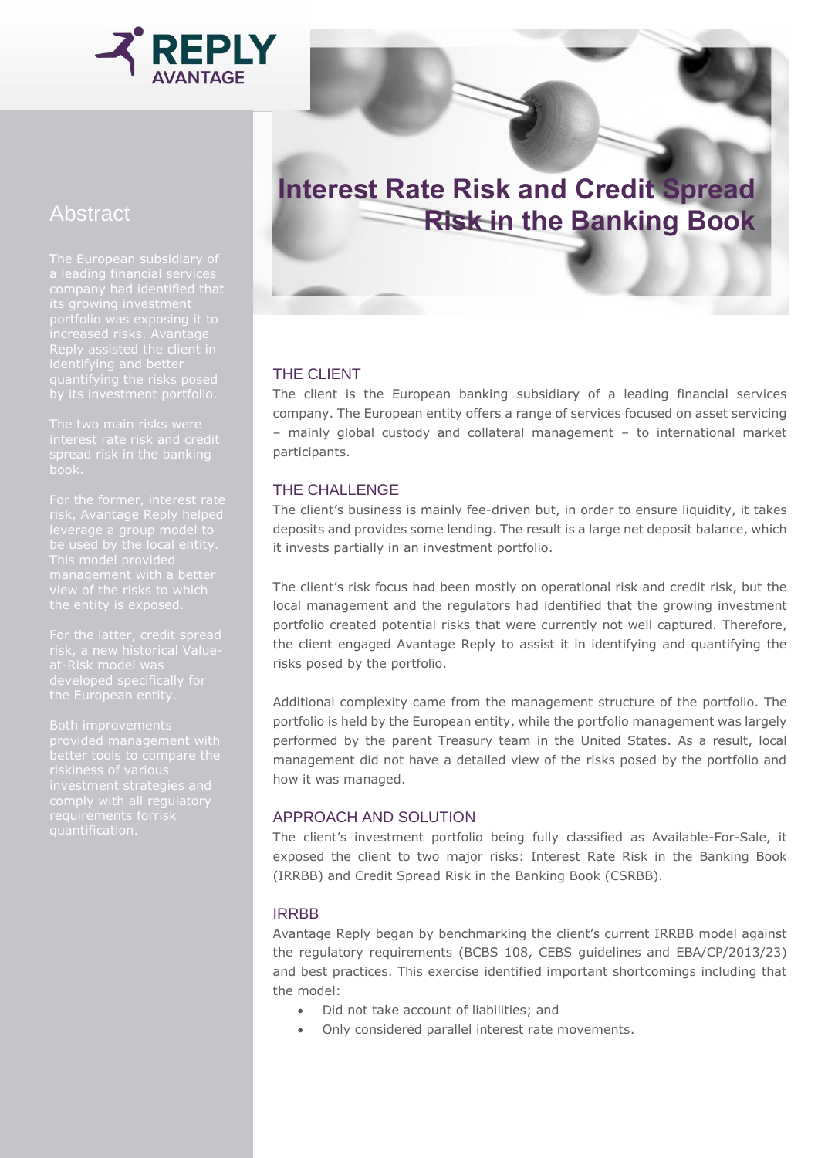

# Abstract

The European subsidiary of Reply assisted the client in

This model provided

# **Interest Rate Risk and Credit Spread Risk in the Banking Book**

## THE CLIENT

The client is the European banking subsidiary of a leading financial services company. The European entity offers a range of services focused on asset servicing – mainly global custody and collateral management – to international market participants.

#### THE CHALLENGE

The client's business is mainly fee-driven but, in order to ensure liquidity, it takes deposits and provides some lending. The result is a large net deposit balance, which it invests partially in an investment portfolio.

The client's risk focus had been mostly on operational risk and credit risk, but the local management and the regulators had identified that the growing investment portfolio created potential risks that were currently not well captured. Therefore, the client engaged Avantage Reply to assist it in identifying and quantifying the risks posed by the portfolio.

Additional complexity came from the management structure of the portfolio. The portfolio is held by the European entity, while the portfolio management was largely performed by the parent Treasury team in the United States. As a result, local management did not have a detailed view of the risks posed by the portfolio and how it was managed.

### APPROACH AND SOLUTION

The client's investment portfolio being fully classified as Available-For-Sale, it exposed the client to two major risks: Interest Rate Risk in the Banking Book (IRRBB) and Credit Spread Risk in the Banking Book (CSRBB).

#### IRRBB

Avantage Reply began by benchmarking the client's current IRRBB model against the regulatory requirements (BCBS 108, CEBS guidelines and EBA/CP/2013/23) and best practices. This exercise identified important shortcomings including that the model:

- Did not take account of liabilities; and
- Only considered parallel interest rate movements.